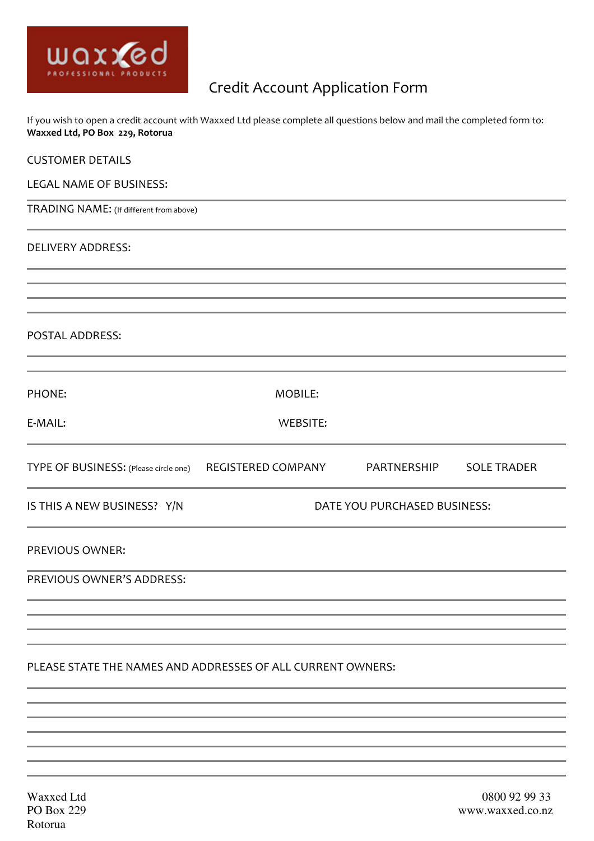

# Credit Account Application Form

If you wish to open a credit account with Waxxed Ltd please complete all questions below and mail the completed form to: Waxxed Ltd, PO Box 229, Rotorua

| <b>CUSTOMER DETAILS</b>                                                          |                              |  |  |
|----------------------------------------------------------------------------------|------------------------------|--|--|
| LEGAL NAME OF BUSINESS:                                                          |                              |  |  |
| TRADING NAME: (If different from above)                                          |                              |  |  |
| <b>DELIVERY ADDRESS:</b>                                                         |                              |  |  |
|                                                                                  |                              |  |  |
| POSTAL ADDRESS:                                                                  |                              |  |  |
| PHONE:                                                                           | MOBILE:                      |  |  |
| E-MAIL:                                                                          | <b>WEBSITE:</b>              |  |  |
| TYPE OF BUSINESS: (Please circle one) REGISTERED COMPANY PARTNERSHIP SOLE TRADER |                              |  |  |
| IS THIS A NEW BUSINESS? Y/N                                                      | DATE YOU PURCHASED BUSINESS: |  |  |
| PREVIOUS OWNER:                                                                  |                              |  |  |
| PREVIOUS OWNER'S ADDRESS:                                                        |                              |  |  |
|                                                                                  |                              |  |  |
| PLEASE STATE THE NAMES AND ADDRESSES OF ALL CURRENT OWNERS:                      |                              |  |  |
|                                                                                  |                              |  |  |
|                                                                                  |                              |  |  |
|                                                                                  |                              |  |  |
|                                                                                  |                              |  |  |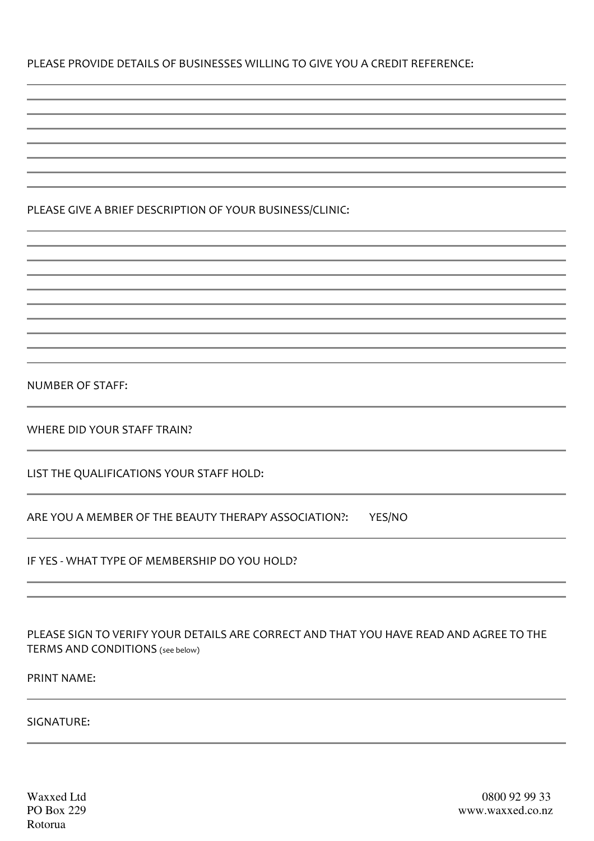# PLEASE PROVIDE DETAILS OF BUSINESSES WILLING TO GIVE YOU A CREDIT REFERENCE:

# PLEASE GIVE A BRIEF DESCRIPTION OF YOUR BUSINESS/CLINIC:

NUMBER OF STAFF:

WHERE DID YOUR STAFF TRAIN?

LIST THE QUALIFICATIONS YOUR STAFF HOLD:

ARE YOU A MEMBER OF THE BEAUTY THERAPY ASSOCIATION?: YES/NO

IF YES - WHAT TYPE OF MEMBERSHIP DO YOU HOLD?

PLEASE SIGN TO VERIFY YOUR DETAILS ARE CORRECT AND THAT YOU HAVE READ AND AGREE TO THE TERMS AND CONDITIONS (see below)

PRINT NAME:

SIGNATURE:

Rotorua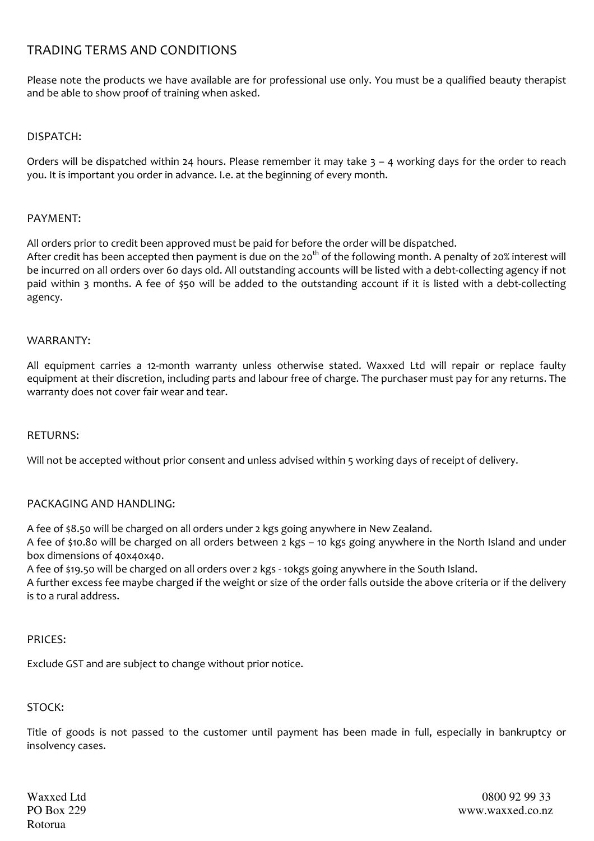# TRADING TERMS AND CONDITIONS

Please note the products we have available are for professional use only. You must be a qualified beauty therapist and be able to show proof of training when asked.

## DISPATCH:

Orders will be dispatched within 24 hours. Please remember it may take  $3 - 4$  working days for the order to reach you. It is important you order in advance. I.e. at the beginning of every month.

### PAYMENT:

All orders prior to credit been approved must be paid for before the order will be dispatched.

After credit has been accepted then payment is due on the 20<sup>th</sup> of the following month. A penalty of 20% interest will be incurred on all orders over 60 days old. All outstanding accounts will be listed with a debt-collecting agency if not paid within 3 months. A fee of \$50 will be added to the outstanding account if it is listed with a debt-collecting agency.

#### WARRANTY:

All equipment carries a 12-month warranty unless otherwise stated. Waxxed Ltd will repair or replace faulty equipment at their discretion, including parts and labour free of charge. The purchaser must pay for any returns. The warranty does not cover fair wear and tear.

#### RETURNS:

Will not be accepted without prior consent and unless advised within 5 working days of receipt of delivery.

## PACKAGING AND HANDLING:

A fee of \$8.50 will be charged on all orders under 2 kgs going anywhere in New Zealand.

A fee of \$10.80 will be charged on all orders between 2 kgs – 10 kgs going anywhere in the North Island and under box dimensions of 40x40x40.

A fee of \$19.50 will be charged on all orders over 2 kgs - 10kgs going anywhere in the South Island.

A further excess fee maybe charged if the weight or size of the order falls outside the above criteria or if the delivery is to a rural address.

#### PRICES:

Exclude GST and are subject to change without prior notice.

## STOCK:

Title of goods is not passed to the customer until payment has been made in full, especially in bankruptcy or insolvency cases.

Rotorua